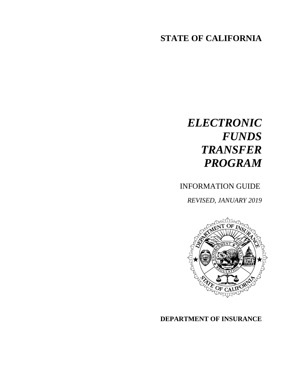# **STATE OF CALIFORNIA**

# *ELECTRONIC FUNDS TRANSFER PROGRAM*

INFORMATION GUIDE

*REVISED, JANUARY 2019* 



## **DEPARTMENT OF INSURANCE**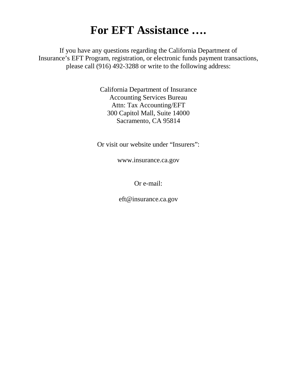# **For EFT Assistance ….**

If you have any questions regarding the California Department of Insurance's EFT Program, registration, or electronic funds payment transactions, please call (916) 492-3288 or write to the following address:

> California Department of Insurance Accounting Services Bureau Attn: Tax Accounting/EFT 300 Capitol Mall, Suite 14000 Sacramento, CA 95814

Or visit our website under "Insurers":

www.insurance.ca.gov

Or e-mail:

eft@insurance.ca.gov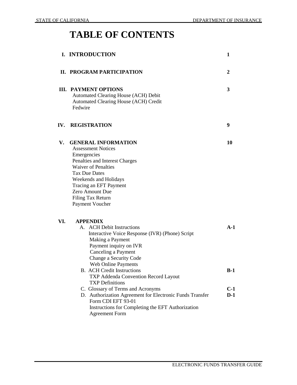# **TABLE OF CONTENTS**

|     | <b>I. INTRODUCTION</b>                                                                                                                                                                                                                                                       | $\mathbf{1}$   |
|-----|------------------------------------------------------------------------------------------------------------------------------------------------------------------------------------------------------------------------------------------------------------------------------|----------------|
|     | II. PROGRAM PARTICIPATION                                                                                                                                                                                                                                                    | 2              |
|     | <b>III. PAYMENT OPTIONS</b><br>Automated Clearing House (ACH) Debit<br><b>Automated Clearing House (ACH) Credit</b><br>Fedwire                                                                                                                                               | 3              |
| IV. | REGISTRATION                                                                                                                                                                                                                                                                 | 9              |
| V.  | <b>GENERAL INFORMATION</b><br><b>Assessment Notices</b><br>Emergencies<br>Penalties and Interest Charges<br><b>Waiver of Penalties</b><br><b>Tax Due Dates</b><br>Weekends and Holidays<br>Tracing an EFT Payment<br>Zero Amount Due<br>Filing Tax Return<br>Payment Voucher | 10             |
| VI. | <b>APPENDIX</b><br><b>ACH Debit Instructions</b><br>А.<br>Interactive Voice Response (IVR) (Phone) Script<br>Making a Payment<br>Payment inquiry on IVR<br>Canceling a Payment<br>Change a Security Code<br><b>Web Online Payments</b>                                       | $A-1$          |
|     | <b>B.</b> ACH Credit Instructions<br>TXP Addenda Convention Record Layout<br><b>TXP</b> Definitions                                                                                                                                                                          | $B-1$          |
|     | C. Glossary of Terms and Acronyms<br>D. Authorization Agreement for Electronic Funds Transfer<br>Form CDI EFT 93-01<br>Instructions for Completing the EFT Authorization<br><b>Agreement Form</b>                                                                            | $C-1$<br>$D-1$ |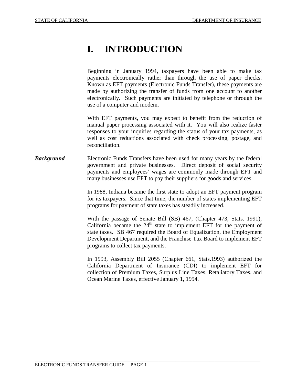# **I. INTRODUCTION**

Beginning in January 1994, taxpayers have been able to make tax payments electronically rather than through the use of paper checks. Known as EFT payments (Electronic Funds Transfer), these payments are made by authorizing the transfer of funds from one account to another electronically. Such payments are initiated by telephone or through the use of a computer and modem.

With EFT payments, you may expect to benefit from the reduction of manual paper processing associated with it. You will also realize faster responses to your inquiries regarding the status of your tax payments, as well as cost reductions associated with check processing, postage, and reconciliation.

**Background** Electronic Funds Transfers have been used for many years by the federal government and private businesses. Direct deposit of social security payments and employees' wages are commonly made through EFT and many businesses use EFT to pay their suppliers for goods and services.

> In 1988, Indiana became the first state to adopt an EFT payment program for its taxpayers. Since that time, the number of states implementing EFT programs for payment of state taxes has steadily increased.

> With the passage of Senate Bill (SB) 467, (Chapter 473, Stats. 1991), California became the  $24<sup>th</sup>$  state to implement EFT for the payment of state taxes. SB 467 required the Board of Equalization, the Employment Development Department, and the Franchise Tax Board to implement EFT programs to collect tax payments.

> In 1993, Assembly Bill 2055 (Chapter 661, Stats.1993) authorized the California Department of Insurance (CDI) to implement EFT for collection of Premium Taxes, Surplus Line Taxes, Retaliatory Taxes, and Ocean Marine Taxes, effective January 1, 1994.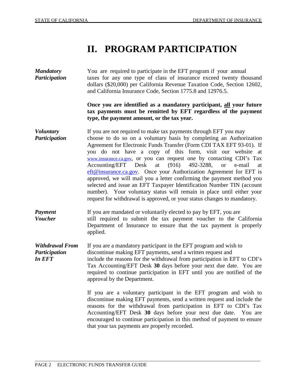# **II. PROGRAM PARTICIPATION**

*Mandatory Participation* You are required to participate in the EFT program if your annual taxes for any one type of class of insurance exceed twenty thousand dollars (\$20,000) per California Revenue Taxation Code, Section 12602, and California Insurance Code, Section 1775.8 and 12976.5.

## **Once you are identified as a mandatory participant, all your future tax payments must be remitted by EFT regardless of the payment type, the payment amount, or the tax year.**

- *Voluntary* *Participation* If you are not required to make tax payments through EFT you may choose to do so on a voluntary basis by completing an Authorization Agreement for Electronic Funds Transfer (Form CDI TAX EFT 93-01). If you do not have a copy of this form, visit our website at [www.insurance.ca.gov,](http://www.insurance.ca.gov/) or you can request one by contacting CDI's Tax Accounting/EFT Desk at (916) 492-3288, or e-mail at [eft@insurance.ca.gov.](mailto:eft@insurance.ca.gov) Once your Authorization Agreement for EFT is approved, we will mail you a letter confirming the payment method you selected and issue an EFT Taxpayer Identification Number TIN (account number). Your voluntary status will remain in place until either your request for withdrawal is approved, or your status changes to mandatory.
- *Payment Voucher* If you are mandated or voluntarily elected to pay by EFT, you are still required to submit the tax payment voucher to the California Department of Insurance to ensure that the tax payment is properly applied.

*Withdrawal From Participation In EFT* If you are a mandatory participant in the EFT program and wish to discontinue making EFT payments, send a written request and include the reasons for the withdrawal from participation in EFT to CDI's Tax Accounting/EFT Desk **30** days before your next due date. You are required to continue participation in EFT until you are notified of the approval by the Department.

\_\_\_\_\_\_\_\_\_\_\_\_\_\_\_\_\_\_\_\_\_\_\_\_\_\_\_\_\_\_\_\_\_\_\_\_\_\_\_\_\_\_\_\_\_\_\_\_\_\_\_\_\_\_\_\_\_\_\_\_\_\_\_\_\_\_\_\_\_\_\_\_\_\_\_\_\_\_\_\_\_\_\_\_\_\_\_\_\_\_\_\_\_

If you are a voluntary participant in the EFT program and wish to discontinue making EFT payments, send a written request and include the reasons for the withdrawal from participation in EFT to CDI's Tax Accounting/EFT Desk **30** days before your next due date. You are encouraged to continue participation in this method of payment to ensure that your tax payments are properly recorded.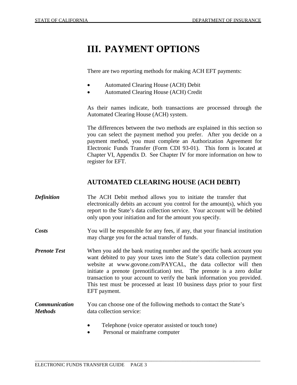# **III. PAYMENT OPTIONS**

There are two reporting methods for making ACH EFT payments:

- Automated Clearing House (ACH) Debit
- Automated Clearing House (ACH) Credit

As their names indicate, both transactions are processed through the Automated Clearing House (ACH) system.

The differences between the two methods are explained in this section so you can select the payment method you prefer. After you decide on a payment method, you must complete an Authorization Agreement for Electronic Funds Transfer (Form CDI 93-01). This form is located at Chapter VI, Appendix D. See Chapter IV for more information on how to register for EFT.

## **AUTOMATED CLEARING HOUSE (ACH DEBIT)**

- *Definition* The ACH Debit method allows you to initiate the transfer that electronically debits an account you control for the amount(s), which you report to the State's data collection service. Your account will be debited only upon your initiation and for the amount you specify. **Costs** You will be responsible for any fees, if any, that your financial institution may charge you for the actual transfer of funds. *Prenote Test* When you add the bank routing number and the specific bank account you want debited to pay your taxes into the State's data collection payment website at www.govone.com/PAYCAL, the data collector will then initiate a prenote (prenotification) test. The prenote is a zero dollar transaction to your account to verify the bank information you provided. This test must be processed at least 10 business days prior to your first EFT payment. *Communication Methods*  You can choose one of the following methods to contact the State's data collection service:
	- Telephone (voice operator assisted or touch tone)

\_\_\_\_\_\_\_\_\_\_\_\_\_\_\_\_\_\_\_\_\_\_\_\_\_\_\_\_\_\_\_\_\_\_\_\_\_\_\_\_\_\_\_\_\_\_\_\_\_\_\_\_\_\_\_\_\_\_\_\_\_\_\_\_\_\_\_\_\_\_\_\_\_\_\_\_\_\_\_\_\_\_\_\_\_\_\_\_\_\_\_\_\_

Personal or mainframe computer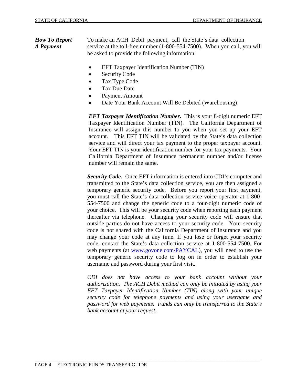*How To Report A Payment* To make an ACHDebit payment, call the State's data collection service at the toll-free number (1-800-554-7500). When you call, you will be asked to provide the following information:

- EFT Taxpayer Identification Number (TIN)
- Security Code
- Tax Type Code
- Tax Due Date
- Payment Amount
- Date Your Bank Account Will Be Debited (Warehousing)

*EFT Taxpayer Identification Number.* This is your 8-digit numeric EFT Taxpayer Identification Number (TIN). The California Department of Insurance will assign this number to you when you set up your EFT account. This EFT TIN will be validated by the State's data collection service and will direct your tax payment to the proper taxpayer account. Your EFT TIN is your identification number for your tax payments. Your California Department of Insurance permanent number and/or license number will remain the same.

*Security Code.* Once EFT information is entered into CDI's computer and transmitted to the State's data collection service, you are then assigned a temporary generic security code. Before you report your first payment, you must call the State's data collection service voice operator at 1-800- 554-7500 and change the generic code to a four-digit numeric code of your choice. This will be your security code when reporting each payment thereafter via telephone. Changing your security code will ensure that outside parties do not have access to your security code. Your security code is not shared with the California Department of Insurance and you may change your code at any time. If you lose or forget your security code, contact the State's data collection service at 1-800-554-7500. For web payments (at [www.govone.com/PAYCAL\)](http://www.govone.com/PAYCAL), you will need to use the temporary generic security code to log on in order to establish your username and password during your first visit.

*CDI does not have access to your bank account without your authorization. The ACH Debit method can only be initiated by using your EFT Taxpayer Identification Number (TIN) along with your unique security code for telephone payments and using your username and password for web payments. Funds can only be transferred to the State's bank account at your request.*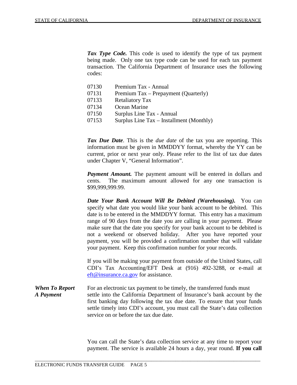*Tax Type Code.* This code is used to identify the type of tax payment being made. Only one tax type code can be used for each tax payment transaction. The California Department of Insurance uses the following codes:

- 07130 Premium Tax Annual
- 07131 Premium Tax Prepayment (Quarterly)
- 07133 Retaliatory Tax
- 07134 Ocean Marine
- 07150 Surplus Line Tax Annual
- 07153 Surplus Line Tax Installment (Monthly)

*Tax Due Date*. This is the *due date* of the tax you are reporting. This information must be given in MMDDYY format, whereby the YY can be current, prior or next year only. Please refer to the list of tax due dates under Chapter V, "General Information".

*Payment Amount.* The payment amount will be entered in dollars and cents. The maximum amount allowed for any one transaction is \$99,999,999.99.

*Date Your Bank Account Will Be Debited (Warehousing).* You can specify what date you would like your bank account to be debited. This date is to be entered in the MMDDYY format. This entry has a maximum range of 90 days from the date you are calling in your payment. Please make sure that the date you specify for your bank account to be debited is not a weekend or observed holiday. After you have reported your payment, you will be provided a confirmation number that will validate your payment. Keep this confirmation number for your records.

If you will be making your payment from outside of the United States, call CDI's Tax Accounting/EFT Desk at (916) 492-3288, or e-mail at [eft@insurance.ca.gov](mailto:eft@insurance.ca.gov) for assistance.

*When To Report A Payment* For an electronic tax payment to be timely, the transferred funds must settle into the California Department of Insurance's bank account by the first banking day following the tax due date. To ensure that your funds settle timely into CDI's account, you must call the State's data collection service on or before the tax due date.

\_\_\_\_\_\_\_\_\_\_\_\_\_\_\_\_\_\_\_\_\_\_\_\_\_\_\_\_\_\_\_\_\_\_\_\_\_\_\_\_\_\_\_\_\_\_\_\_\_\_\_\_\_\_\_\_\_\_\_\_\_\_\_\_\_\_\_\_\_\_\_\_\_\_\_\_\_\_\_\_\_\_\_\_\_\_\_\_\_\_\_\_\_

You can call the State's data collection service at any time to report your payment. The service is available 24 hours a day, year round. **If you call**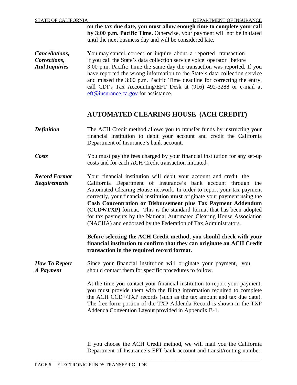**on the tax due date, you must allow enough time to complete your call by 3:00 p.m. Pacific Time.** Otherwise, your payment will not be initiated until the next business day and will be considered late.

*Cancellations, Corrections, And Inquiries* You may cancel, correct, or inquire about a reported transaction if you call the State's data collection service voice operator before 3:00 p.m. Pacific Time the same day the transaction was reported. If you have reported the wrong information to the State's data collection service and missed the 3:00 p.m. Pacific Time deadline for correcting the entry, call CDI's Tax Accounting/EFT Desk at (916) 492-3288 or e-mail at [eft@insurance.ca.gov](mailto:eft@insurance.ca.gov) for assistance.

## **AUTOMATED CLEARING HOUSE (ACH CREDIT)**

- *Definition* The ACH Credit method allows you to transfer funds by instructing your financial institution to debit your account and credit the California Department of Insurance's bank account.
- *Costs* You must pay the fees charged by your financial institution for any set-up costs and for each ACH Credit transaction initiated.
- *Record Format Requirements* Your financial institution will debit your account and credit the California Department of Insurance's bank account through the Automated Clearing House network. In order to report your tax payment correctly, your financial institution **must** originate your payment using the **Cash Concentration or Disbursement plus Tax Payment Addendum (CCD+/TXP)** format. This is the standard format that has been adopted for tax payments by the National Automated Clearing House Association (NACHA) and endorsed by the Federation of Tax Administrators.

**Before selecting the ACH Credit method, you should check with your financial institution to confirm that they can originate an ACH Credit transaction in the required record format.** 

*How To Report A Payment*  Since your financial institution will originate your payment, you should contact them for specific procedures to follow.

\_\_\_\_\_\_\_\_\_\_\_\_\_\_\_\_\_\_\_\_\_\_\_\_\_\_\_\_\_\_\_\_\_\_\_\_\_\_\_\_\_\_\_\_\_\_\_\_\_\_\_\_\_\_\_\_\_\_\_\_\_\_\_\_\_\_\_\_\_\_\_\_\_\_\_\_\_\_\_\_\_\_\_\_\_\_\_\_\_\_\_\_\_

At the time you contact your financial institution to report your payment, you must provide them with the filing information required to complete the ACH CCD+/TXP records (such as the tax amount and tax due date). The free form portion of the TXP Addenda Record is shown in the TXP Addenda Convention Layout provided in Appendix B-1.

If you choose the ACH Credit method, we will mail you the California Department of Insurance's EFT bank account and transit/routing number.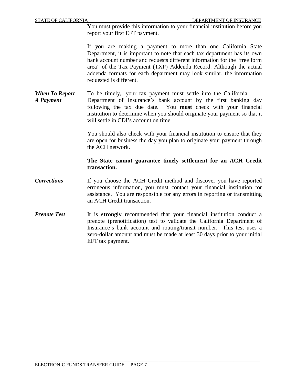You must provide this information to your financial institution before you report your first EFT payment.

If you are making a payment to more than one California State Department, it is important to note that each tax department has its own bank account number and requests different information for the "free form area" of the Tax Payment (TXP) Addenda Record. Although the actual addenda formats for each department may look similar, the information requested is different.

*When To Report A Payment*  To be timely, your tax payment must settle into the California Department of Insurance's bank account by the first banking day following the tax due date. You **must** check with your financial institution to determine when you should originate your payment so that it will settle in CDI's account on time.

> You should also check with your financial institution to ensure that they are open for business the day you plan to originate your payment through the ACH network.

## **The State cannot guarantee timely settlement for an ACH Credit transaction.**

- *Corrections* If you choose the ACH Credit method and discover you have reported erroneous information, you must contact your financial institution for assistance. You are responsible for any errors in reporting or transmitting an ACH Credit transaction.
- *Prenote Test* It is **strongly** recommended that your financial institution conduct a prenote (prenotification) test to validate the California Department of Insurance's bank account and routing/transit number. This test uses a zero-dollar amount and must be made at least 30 days prior to your initial EFT tax payment.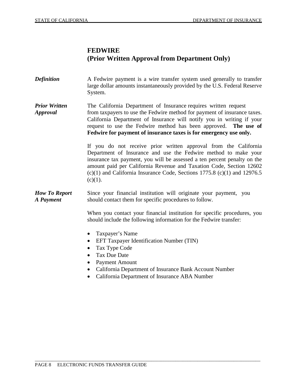## **FEDWIRE (Prior Written Approval from Department Only)**

- *Definition* A Fedwire payment is a wire transfer system used generally to transfer large dollar amounts instantaneously provided by the U.S. Federal Reserve System.
- *Prior Written Approval*  The California Department of Insurance requires written request from taxpayers to use the Fedwire method for payment of insurance taxes. California Department of Insurance will notify you in writing if your request to use the Fedwire method has been approved. **The use of Fedwire for payment of insurance taxes is for emergency use only.**

If you do not receive prior written approval from the California Department of Insurance and use the Fedwire method to make your insurance tax payment, you will be assessed a ten percent penalty on the amount paid per California Revenue and Taxation Code, Section 12602  $(c)(1)$  and California Insurance Code, Sections 1775.8  $(c)(1)$  and 12976.5  $(c)(1)$ .

*How To Report A Payment* Since your financial institution will originate your payment, you should contact them for specific procedures to follow.

> When you contact your financial institution for specific procedures, you should include the following information for the Fedwire transfer:

- Taxpayer's Name
- EFT Taxpayer Identification Number (TIN)
- Tax Type Code
- Tax Due Date
- Payment Amount
- California Department of Insurance Bank Account Number
- California Department of Insurance ABA Number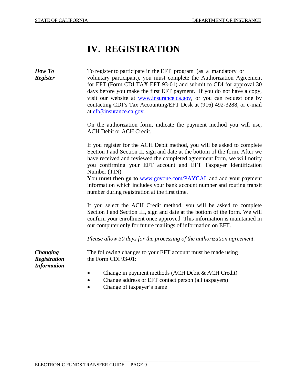# **IV. REGISTRATION**

| How To<br><b>Register</b>                                    | To register to participate in the EFT program (as a mandatory or<br>voluntary participant), you must complete the Authorization Agreement<br>for EFT (Form CDI TAX EFT 93-01) and submit to CDI for approval 30<br>days before you make the first EFT payment. If you do not have a copy,<br>visit our website at www.insurance.ca.gov, or you can request one by<br>contacting CDI's Tax Accounting/EFT Desk at (916) 492-3288, or e-mail<br>at eft@insurance.ca.gov.<br>On the authorization form, indicate the payment method you will use,<br><b>ACH Debit or ACH Credit.</b> |
|--------------------------------------------------------------|-----------------------------------------------------------------------------------------------------------------------------------------------------------------------------------------------------------------------------------------------------------------------------------------------------------------------------------------------------------------------------------------------------------------------------------------------------------------------------------------------------------------------------------------------------------------------------------|
|                                                              | If you register for the ACH Debit method, you will be asked to complete<br>Section I and Section II, sign and date at the bottom of the form. After we<br>have received and reviewed the completed agreement form, we will notify<br>you confirming your EFT account and EFT Taxpayer Identification<br>Number (TIN).<br>You must then go to www.govone.com/PAYCAL and add your payment<br>information which includes your bank account number and routing transit<br>number during registration at the first time.                                                               |
|                                                              | If you select the ACH Credit method, you will be asked to complete<br>Section I and Section III, sign and date at the bottom of the form. We will<br>confirm your enrollment once approved This information is maintained in<br>our computer only for future mailings of information on EFT.<br>Please allow 30 days for the processing of the authorization agreement.                                                                                                                                                                                                           |
| <b>Changing</b><br><b>Registration</b><br><b>Information</b> | The following changes to your EFT account must be made using<br>the Form CDI 93-01:<br>Change in payment methods (ACH Debit & ACH Credit)<br>$\bullet$<br>Change address or EFT contact person (all taxpayers)<br>Change of taxpayer's name<br>$\bullet$                                                                                                                                                                                                                                                                                                                          |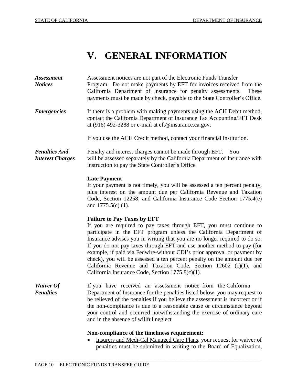# **V. GENERAL INFORMATION**

| <b>Assessment</b><br><b>Notices</b>             | Assessment notices are not part of the Electronic Funds Transfer<br>Program. Do not make payments by EFT for invoices received from the<br>California Department of Insurance for penalty assessments.<br>These<br>payments must be made by check, payable to the State Controller's Office.                                                                                                                                                                                                                                                                                                                         |
|-------------------------------------------------|----------------------------------------------------------------------------------------------------------------------------------------------------------------------------------------------------------------------------------------------------------------------------------------------------------------------------------------------------------------------------------------------------------------------------------------------------------------------------------------------------------------------------------------------------------------------------------------------------------------------|
| <b>Emergencies</b>                              | If there is a problem with making payments using the ACH Debit method,<br>contact the California Department of Insurance Tax Accounting/EFT Desk<br>at (916) 492-3288 or e-mail at eft@insurance.ca.gov.                                                                                                                                                                                                                                                                                                                                                                                                             |
|                                                 | If you use the ACH Credit method, contact your financial institution.                                                                                                                                                                                                                                                                                                                                                                                                                                                                                                                                                |
| <b>Penalties And</b><br><b>Interest Charges</b> | Penalty and interest charges cannot be made through EFT. You<br>will be assessed separately by the California Department of Insurance with<br>instruction to pay the State Controller's Office                                                                                                                                                                                                                                                                                                                                                                                                                       |
|                                                 | <b>Late Payment</b><br>If your payment is not timely, you will be assessed a ten percent penalty,<br>plus interest on the amount due per California Revenue and Taxation<br>Code, Section 12258, and California Insurance Code Section 1775.4(e)<br>and $1775.5(c)$ (1).                                                                                                                                                                                                                                                                                                                                             |
|                                                 | <b>Failure to Pay Taxes by EFT</b><br>If you are required to pay taxes through EFT, you must continue to<br>participate in the EFT program unless the California Department of<br>Insurance advises you in writing that you are no longer required to do so.<br>If you do not pay taxes through EFT and use another method to pay (for<br>example, if paid via Fedwire-without CDI's prior approval or payment by<br>check), you will be assessed a ten percent penalty on the amount due per<br>California Revenue and Taxation Code, Section 12602 (c)(1), and<br>California Insurance Code, Section 1775.8(c)(1). |
| <b>Waiver Of</b><br><b>Penalties</b>            | If you have received an assessment notice from the California<br>Department of Insurance for the penalties listed below, you may request to<br>be relieved of the penalties if you believe the assessment is incorrect or if<br>the non-compliance is due to a reasonable cause or circumstance beyond<br>your control and occurred notwithstanding the exercise of ordinary care<br>and in the absence of willful neglect                                                                                                                                                                                           |
|                                                 | Non-compliance of the timeliness requirement:<br>Insurers and Medi-Cal Managed Care Plans, your request for waiver of<br>penalties must be submitted in writing to the Board of Equalization,                                                                                                                                                                                                                                                                                                                                                                                                                        |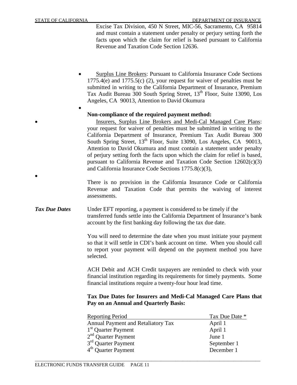•

•

Excise Tax Division, 450 N Street, MIC-56, Sacramento, CA 95814 and must contain a statement under penalty or perjury setting forth the facts upon which the claim for relief is based pursuant to California Revenue and Taxation Code Section 12636.

- Surplus Line Brokers: Pursuant to California Insurance Code Sections 1775.4(e) and 1775.5(c) (2), your request for waiver of penalties must be submitted in writing to the California Department of Insurance, Premium Tax Audit Bureau 300 South Spring Street, 13<sup>th</sup> Floor, Suite 13090, Los Angeles, CA 90013, Attention to David Okumura
	- **Non-compliance of the required payment method:**

• Insurers, Surplus Line Brokers and Medi-Cal Managed Care Plans: your request for waiver of penalties must be submitted in writing to the California Department of Insurance, Premium Tax Audit Bureau 300 South Spring Street, 13<sup>th</sup> Floor, Suite 13090, Los Angeles, CA 90013, Attention to David Okumura and must contain a statement under penalty of perjury setting forth the facts upon which the claim for relief is based, pursuant to California Revenue and Taxation Code Section  $12602(c)(3)$ and California Insurance Code Sections 1775.8(c)(3),

There is no provision in the California Insurance Code or California Revenue and Taxation Code that permits the waiving of interest assessments.

**Tax Due Dates** Under EFT reporting, a payment is considered to be timely if the transferred funds settle into the California Department of Insurance's bank account by the first banking day following the tax due date.

> You will need to determine the date when you must initiate your payment so that it will settle in CDI's bank account on time. When you should call to report your payment will depend on the payment method you have selected.

> ACH Debit and ACH Credit taxpayers are reminded to check with your financial institution regarding its requirements for timely payments. Some financial institutions require a twenty-four hour lead time.

## **Tax Due Dates for Insurers and Medi-Cal Managed Care Plans that Pay on an Annual and Quarterly Basis:**

| <b>Reporting Period</b>            | Tax Due Date * |
|------------------------------------|----------------|
| Annual Payment and Retaliatory Tax | April 1        |
| $1st$ Quarter Payment              | April 1        |
| $2nd$ Quarter Payment              | June 1         |
| 3 <sup>rd</sup> Quarter Payment    | September 1    |
| 4 <sup>th</sup> Quarter Payment    | December 1     |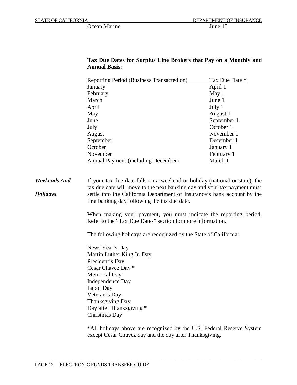|                     | Reporting Period (Business Transacted on)                                                                                       | Tax Due Date * |
|---------------------|---------------------------------------------------------------------------------------------------------------------------------|----------------|
|                     | January                                                                                                                         | April 1        |
|                     | February                                                                                                                        | May 1          |
|                     | March                                                                                                                           | June 1         |
|                     | April                                                                                                                           | July 1         |
|                     | May                                                                                                                             | August 1       |
|                     | June                                                                                                                            | September 1    |
|                     | July                                                                                                                            | October 1      |
|                     | August                                                                                                                          | November 1     |
|                     | September                                                                                                                       | December 1     |
|                     | October                                                                                                                         | January 1      |
|                     | November                                                                                                                        | February 1     |
|                     | <b>Annual Payment (including December)</b>                                                                                      | March 1        |
|                     |                                                                                                                                 |                |
| <b>Weekends And</b> | If your tax due date falls on a weekend or holiday (national or state), the                                                     |                |
|                     | tax due date will move to the next banking day and your tax payment must                                                        |                |
| Holidays            | settle into the California Department of Insurance's bank account by the                                                        |                |
|                     | first banking day following the tax due date.                                                                                   |                |
|                     |                                                                                                                                 |                |
|                     | When making your payment, you must indicate the reporting period.<br>Refer to the "Tax Due Dates" section for more information. |                |
|                     |                                                                                                                                 |                |
|                     | The following holidays are recognized by the State of California:                                                               |                |
|                     | News Year's Day                                                                                                                 |                |
|                     | Martin Luther King Jr. Day                                                                                                      |                |
|                     | President's Day                                                                                                                 |                |
|                     | Cesar Chavez Day *                                                                                                              |                |
|                     | <b>Memorial Day</b>                                                                                                             |                |
|                     | <b>Independence Day</b>                                                                                                         |                |
|                     | Labor Day                                                                                                                       |                |
|                     | Veteran's Day                                                                                                                   |                |
|                     | <b>Thanksgiving Day</b>                                                                                                         |                |
|                     | Day after Thanksgiving *                                                                                                        |                |
|                     | Christmas Day                                                                                                                   |                |
|                     | $*$ All holidays above are recognized by the $\overline{I}$ $\overline{S}$ Eederal Reserve System                               |                |

## **Tax Due Dates for Surplus Line Brokers that Pay on a Monthly and Annual Basis:**

\*All holidays above are recognized by the U.S. Federal Reserve System except Cesar Chavez day and the day after Thanksgiving.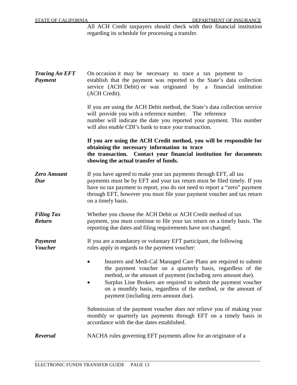All ACH Credit taxpayers should check with their financial institution regarding its schedule for processing a transfer.

| <b>Tracing An EFT</b><br><b>Payment</b> | On occasion it may be necessary to trace a tax payment to<br>establish that the payment was reported to the State's data collection<br>service (ACH Debit) or was originated by a financial institution<br>(ACH Credit).                                                                                                                                                     |  |
|-----------------------------------------|------------------------------------------------------------------------------------------------------------------------------------------------------------------------------------------------------------------------------------------------------------------------------------------------------------------------------------------------------------------------------|--|
|                                         | If you are using the ACH Debit method, the State's data collection service<br>will provide you with a reference number. The reference<br>number will indicate the date you reported your payment. This number<br>will also enable CDI's bank to trace your transaction.                                                                                                      |  |
|                                         | If you are using the ACH Credit method, you will be responsible for<br>obtaining the necessary information to trace<br>the transaction. Contact your financial institution for documents<br>showing the actual transfer of funds.                                                                                                                                            |  |
| <b>Zero Amount</b><br>Due               | If you have agreed to make your tax payments through EFT, all tax<br>payments must be by EFT and your tax return must be filed timely. If you<br>have no tax payment to report, you do not need to report a "zero" payment<br>through EFT, however you must file your payment voucher and tax return<br>on a timely basis.                                                   |  |
| <b>Filing Tax</b><br>Return             | Whether you choose the ACH Debit or ACH Credit method of tax<br>payment, you must continue to file your tax return on a timely basis. The<br>reporting due dates and filing requirements have not changed.                                                                                                                                                                   |  |
| <b>Payment</b><br><b>Voucher</b>        | If you are a mandatory or voluntary EFT participant, the following<br>rules apply in regards to the payment voucher:                                                                                                                                                                                                                                                         |  |
|                                         | Insurers and Medi-Cal Managed Care Plans are required to submit<br>the payment voucher on a quarterly basis, regardless of the<br>method, or the amount of payment (including zero amount due).<br>Surplus Line Brokers are required to submit the payment voucher<br>on a monthly basis, regardless of the method, or the amount of<br>payment (including zero amount due). |  |
|                                         | Submission of the payment voucher <i>does not</i> relieve you of making your<br>monthly or quarterly tax payments through EFT on a timely basis in<br>accordance with the due dates established.                                                                                                                                                                             |  |
| Reversal                                | NACHA rules governing EFT payments allow for an originator of a                                                                                                                                                                                                                                                                                                              |  |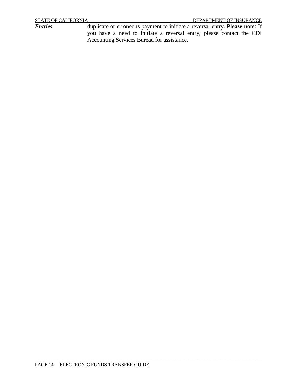*Entries* duplicate or erroneous payment to initiate a reversal entry. **Please note**: If you have a need to initiate a reversal entry, please contact the CDI Accounting Services Bureau for assistance.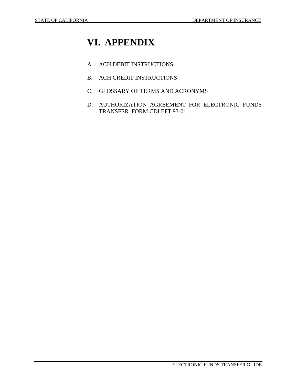# **VI. APPENDIX**

- A. ACH DEBIT INSTRUCTIONS
- B. ACH CREDIT INSTRUCTIONS
- C. GLOSSARY OF TERMS AND ACRONYMS
- D. AUTHORIZATION AGREEMENT FOR ELECTRONIC FUNDS TRANSFER FORM CDI EFT 93-01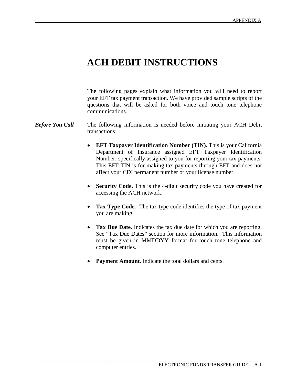# **ACH DEBIT INSTRUCTIONS**

The following pages explain what information you will need to report your EFT tax payment transaction. We have provided sample scripts of the questions that will be asked for both voice and touch tone telephone communications.

## *Before You Call* The following information is needed before initiating your ACH Debit transactions:

- **EFT Taxpayer Identification Number (TIN).** This is your California Department of Insurance assigned EFT Taxpayer Identification Number, specifically assigned to you for reporting your tax payments. This EFT TIN is for making tax payments through EFT and does not affect your CDI permanent number or your license number.
- **Security Code.** This is the 4-digit security code you have created for accessing the ACH network.
- **Tax Type Code.** The tax type code identifies the type of tax payment you are making.
- **Tax Due Date.** Indicates the tax due date for which you are reporting. See "Tax Due Dates" section for more information. This information must be given in MMDDYY format for touch tone telephone and computer entries.
- **Payment Amount.** Indicate the total dollars and cents.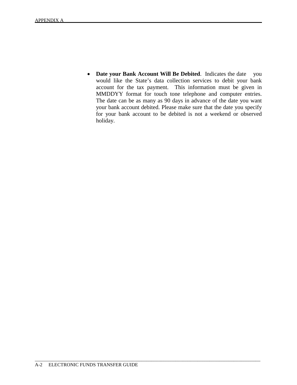• Date your Bank Account Will Be Debited. Indicates the date you would like the State's data collection services to debit your bank account for the tax payment. This information must be given in MMDDYY format for touch tone telephone and computer entries. The date can be as many as 90 days in advance of the date you want your bank account debited. Please make sure that the date you specify for your bank account to be debited is not a weekend or observed holiday.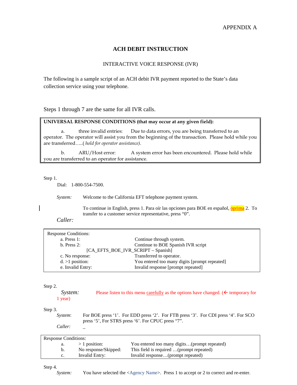## **ACH DEBIT INSTRUCTION**

## INTERACTIVE VOICE RESPONSE (IVR)

collection service using your telephone. The following is a sample script of an ACH debit IVR payment reported to the State's data

Steps 1 through 7 are the same for all IVR calls.

#### **UNIVERSAL RESPONSE CONDITIONS (that may occur at any given field):**

a. three invalid entries: Due to data errors, you are being transferred to an operator. The operator will assist you from the beginning of the transaction. Please hold while you are transferred…..( *hold for operator assistance)*.

b. ARU/Host error: A system error has been encountered. Please hold while you are transferred to an operator for assistance.

Step 1.

Dial: 1-800-554-7500.

*System:* Welcome to the California EFT telephone payment system.

To continue in English, press 1. Para oír las opciones para BOE en español, *oprima* 2. To transfer to a customer service representative, press "0".

*Caller:* 

| <b>Response Conditions:</b>        |                                               |  |
|------------------------------------|-----------------------------------------------|--|
| a. Press $1$ :                     | Continue through system.                      |  |
| $b.$ Press 2:                      | Continue to BOE Spanish IVR script            |  |
| [CA_EFTS_BOE_IVR_SCRIPT - Spanish] |                                               |  |
| c. No response:                    | Transferred to operator.                      |  |
| $d. >1$ position:                  | You entered too many digits [prompt repeated] |  |
| e. Invalid Entry:                  | Invalid response [prompt repeated]            |  |

Step 2.

*System:* Please listen to this menu carefully as the options have changed. ( $\epsilon$  temporary for 1 year)

Step 3.

*System*: For BOE press '1'. For EDD press '2'. For FTB press '3'. For CDI press '4'. For SCO press '5', For STRS press '6'. For CPUC press "7". *Caller:* \_

| <b>Response Conditions:</b> |                      |                                              |
|-----------------------------|----------------------|----------------------------------------------|
| a.                          | $>1$ position:       | You entered too many digits(prompt repeated) |
| $\mathbf{b}$ .              | No response/Skipped: | This field is required (prompt repeated)     |
| $\mathbf{c}$ .              | Invalid Entry:       | Invalid response(prompt repeated)            |

Step 4.

*System:* You have selected the <Agency Name>. Press 1 to accept or 2 to correct and re-enter.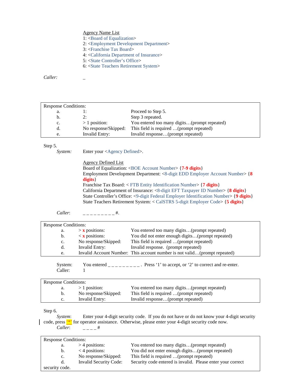#### Agency Name List

1: <Board of Equalization>

- 2: <Employment Development Department>
- 3: <Franchise Tax Board>
- 4: <California Department of Insurance>
- 5: <State Controller's Office>
- 6: <State Teachers Retirement System>

*Caller:* \_

| <b>Response Conditions:</b> |                      |                                              |
|-----------------------------|----------------------|----------------------------------------------|
| a.                          |                      | Proceed to Step 5.                           |
|                             | 2:                   | Step 3 repeated.                             |
| c.                          | $>1$ position:       | You entered too many digits(prompt repeated) |
| d.                          | No response/Skipped: | This field is required (prompt repeated)     |
| e.                          | Invalid Entry:       | Invalid response(prompt repeated)            |

Step 5.

*System:* Enter your <Agency Defined>.

Agency Defined List

Board of Equalization: <BOE Account Number> {**7-9 digits**}

Employment Development Department: <8-digit EDD Employer Account Number> {**8 digits**}

Franchise Tax Board: < FTB Entity Identification Number> {**7 digits**} California Department of Insurance: <8-digit EFT Taxpayer ID Number> {**8 digits**} State Controller's Office: <9-digit Federal Employer Identification Number> {**9 digits**} State Teachers Retirement System: < CalSTRS 5-digit Employer Code> {**5 digits**}

*Caller*:  $\qquad \qquad = - - - - - - - + \frac{\pi}{4}.$ 

| <b>Response Conditions:</b> |                                  |                                                                           |  |
|-----------------------------|----------------------------------|---------------------------------------------------------------------------|--|
| a.                          | $> x$ positions:                 | You entered too many digits(prompt repeated)                              |  |
| b.                          | $\langle x \rangle$ x positions: | You did not enter enough digits(prompt repeated)                          |  |
| $c_{\cdot}$                 | No response/Skipped:             | This field is required (prompt repeated)                                  |  |
| d.                          | Invalid Entry:                   | Invalid response. (prompt repeated)                                       |  |
| e.                          |                                  | Invalid Account Number: This account number is not valid(prompt repeated) |  |

System: You entered  $\overline{\phantom{a}}$  \_ \_ \_ \_ \_ \_ \_ \_ . Press '1' to accept, or '2' to correct and re-enter. Caller: 1

## Response Conditions:

| a. | $>1$ position:       | You entered too many digits(prompt repeated) |
|----|----------------------|----------------------------------------------|
| b. | No response/Skipped: | This field is required (prompt repeated)     |
|    | Invalid Entry:       | Invalid response(prompt repeated)            |

Step 6.

 *System*: Enter your 4-digit security code. If you do not have or do not know your 4-digit security code, press  $'$ <sup>\*</sup>) for operator assistance. Otherwise, please enter your 4-digit security code now. *Caller*:  $\qquad \qquad = -1 + \frac{\pi}{6}$ 

| <b>Response Conditions:</b> |                               |                                                             |
|-----------------------------|-------------------------------|-------------------------------------------------------------|
| a.                          | $>$ 4 positions:              | You entered too many digits(prompt repeated)                |
| b.                          | $\leq$ 4 positions:           | You did not enter enough digits(prompt repeated)            |
| $c_{\cdot}$                 | No response/Skipped:          | This field is required (prompt repeated)                    |
| d.                          | <b>Invalid Security Code:</b> | Security code entered is invalid. Please enter your correct |
| security code.              |                               |                                                             |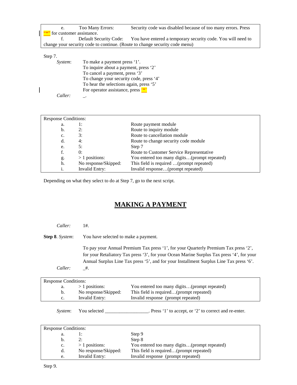| Security code was disabled because of too many errors. Press                           |
|----------------------------------------------------------------------------------------|
|                                                                                        |
| f. Default Security Code: You have entered a temporary security code. You will need to |
|                                                                                        |
|                                                                                        |
|                                                                                        |

| OLU I. |                     |                                         |
|--------|---------------------|-----------------------------------------|
|        | System:             | To make a payment press '1'.            |
|        |                     | To inquire about a payment, press '2'   |
|        |                     | To cancel a payment, press '3'          |
|        |                     | To change your security code, press '4' |
|        |                     | To hear the selections again, press '5' |
|        |                     | For operator assistance, press "*"      |
|        | Caller <sup>.</sup> |                                         |
|        |                     |                                         |

| <b>Response Conditions:</b> |                       |                                              |
|-----------------------------|-----------------------|----------------------------------------------|
| a.                          | l:                    | Route payment module                         |
| b.                          | 2:                    | Route to inquiry module                      |
| c.                          | 3:                    | Route to cancellation module                 |
| d.                          | 4:                    | Route to change security code module         |
| e.                          | 5:                    | Step 7                                       |
| f.                          | $\theta$ :            | Route to Customer Service Representative     |
| g.                          | $>1$ positions:       | You entered too many digits(prompt repeated) |
| h.                          | No response/Skipped:  | This field is required (prompt repeated)     |
| 1.                          | <b>Invalid Entry:</b> | Invalid response(prompt repeated)            |

Depending on what they select to do at Step 7, go to the next script.

## **MAKING A PAYMENT**

| Caller:                | 1#.                                                                                                                                                                                                                                                                         |
|------------------------|-----------------------------------------------------------------------------------------------------------------------------------------------------------------------------------------------------------------------------------------------------------------------------|
| <b>Step 8.</b> System: | You have selected to make a payment.                                                                                                                                                                                                                                        |
|                        | To pay your Annual Premium Tax press '1', for your Quarterly Premium Tax press '2',<br>for your Retaliatory Tax press '3', for your Ocean Marine Surplus Tax press '4', for your<br>Annual Surplus Line Tax press '5', and for your Installment Surplus Line Tax press '6'. |
| Caller:                | _ #.                                                                                                                                                                                                                                                                        |

| <b>Response Conditions:</b> |                      |                                              |  |
|-----------------------------|----------------------|----------------------------------------------|--|
| a.                          | $>1$ positions:      | You entered too many digits(prompt repeated) |  |
| b.                          | No response/Skipped: | This field is required(prompt repeated)      |  |
| $c_{\cdot}$                 | Invalid Entry:       | Invalid response (prompt repeated)           |  |
|                             |                      |                                              |  |

*System*: You selected \_\_\_\_\_\_\_\_\_\_\_\_\_\_\_\_\_\_\_. Press '1' to accept, or '2' to correct and re-enter.

| <b>Response Conditions:</b> |                      |                                              |
|-----------------------------|----------------------|----------------------------------------------|
| a.                          |                      | Step 9                                       |
| b.                          |                      | Step 8                                       |
| c.                          | $>1$ positions:      | You entered too many digits(prompt repeated) |
| d.                          | No response/Skipped: | This field is required(prompt repeated)      |
| e.                          | Invalid Entry:       | Invalid response (prompt repeated)           |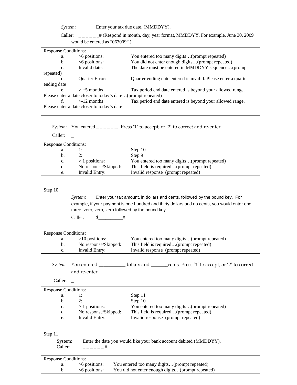*System*: Enter your tax due date. (MMDDYY).

Caller:  $\frac{1}{2}$  =  $\frac{1}{2}$  =  $\frac{1}{2}$  (Respond in month, day, year format, MMDDYY. For example, June 30, 2009 would be entered as "063009".)

| <b>Response Conditions:</b> |                                                             |                                                                |
|-----------------------------|-------------------------------------------------------------|----------------------------------------------------------------|
| a.                          | $>6$ positions:                                             | You entered too many digits(prompt repeated)                   |
| b.                          | $<6$ positions:                                             | You did not enter enough digits(prompt repeated)               |
| c.                          | Invalid date:                                               | The date must be entered in MMDDYY sequence(prompt             |
| repeated)                   |                                                             |                                                                |
| d                           | <b>Ouarter Error:</b>                                       | Quarter ending date entered is invalid. Please enter a quarter |
| ending date                 |                                                             |                                                                |
| e.                          | $> +5$ months                                               | Tax period end date entered is beyond your allowed range.      |
|                             | Please enter a date closer to today's date(prompt repeated) |                                                                |
| f.                          | $>12$ months                                                | Tax period end date entered is beyond your allowed range.      |
|                             | Please enter a date closer to today's date                  |                                                                |
|                             |                                                             |                                                                |

*System*: You entered  $\frac{1}{2}$   $\frac{1}{2}$  Press '1' to accept, or '2' to correct and re-enter.

Caller: \_

| <b>Response Conditions:</b> |                      |                                              |  |
|-----------------------------|----------------------|----------------------------------------------|--|
| a.                          |                      | Step 10                                      |  |
| b.                          | 2:                   | Step 9                                       |  |
| $c_{\cdot}$                 | $>1$ positions:      | You entered too many digits(prompt repeated) |  |
| d.                          | No response/Skipped: | This field is required(prompt repeated)      |  |
| e.                          | Invalid Entry:       | Invalid response (prompt repeated)           |  |

Step 10

 *System:* Enter your tax amount, in dollars and cents, followed by the pound key. For example, if your payment is one hundred and thirty dollars and no cents, you would enter one, three, zero, zero, zero followed by the pound key.

Caller:  $\frac{\$$ 

| <b>Response Conditions:</b> |                      |                                              |
|-----------------------------|----------------------|----------------------------------------------|
| a.                          | $>10$ positions:     | You entered too many digits(prompt repeated) |
| b.                          | No response/Skipped: | This field is required(prompt repeated)      |
| $c_{\cdot}$                 | Invalid Entry:       | Invalid response (prompt repeated)           |

*System*: You entered \_\_\_\_\_\_\_\_\_\_\_dollars and \_\_\_\_\_\_\_cents. Press '1' to accept, or '2' to correct and re-enter.

Caller: \_

| <b>Response Conditions:</b> |                      |                                              |
|-----------------------------|----------------------|----------------------------------------------|
| a.                          |                      | Step 11                                      |
| b.                          |                      | Step 10                                      |
| $c_{\cdot}$                 | $>1$ positions:      | You entered too many digits(prompt repeated) |
| d.                          | No response/Skipped: | This field is required(prompt repeated)      |
| e.                          | Invalid Entry:       | Invalid response (prompt repeated)           |
|                             |                      |                                              |

Step 11

 System: Enter the date you would like your bank account debited (MMDDYY). Caller:  $\qquad \qquad = - - - - \frac{\pi}{4}.$ 

| <b>Response Conditions:</b> |                   |                                                  |
|-----------------------------|-------------------|--------------------------------------------------|
| a.                          | $>6$ positions:   | You entered too many digits(prompt repeated)     |
|                             | $\leq$ positions: | You did not enter enough digits(prompt repeated) |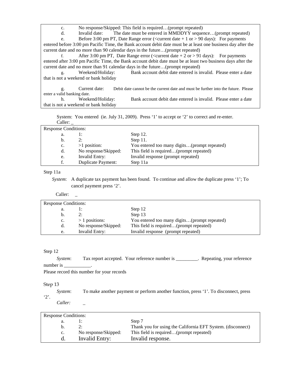c. No response/Skipped: This field is required…(prompt repeated) d. Invalid date: The date must be entered in MMDDYY sequence…(prompt repeated) e. Before 3:00 pm PT, Date Range error (<current date + 1 or > 90 days): For payments entered before 3:00 pm Pacific Time, the Bank account debit date must be at least one business day after the current date and no more than 90 calendar days in the future…(prompt repeated) f. After 3:00 pm PT, Date Range error (<current date  $+ 2$  or  $> 91$  days): For payments entered after 3:00 pm Pacific Time, the Bank account debit date must be at least two business days after the current date and no more than 91 calendar days in the future…(prompt repeated) g. Weekend/Holiday: Bank account debit date entered is invalid. Please enter a date that is not a weekend or bank holiday g. Current date: Debit date cannot be the current date and must be further into the future. Please enter a valid banking date. h. Weekend/Holiday: Bank account debit date entered is invalid. Please enter a date that is not a weekend or bank holiday

System: You entered (ie. July 31, 2009). Press '1' to accept or '2' to correct and re-enter. Caller: \_

| <b>Response Conditions:</b> |                           |                                              |
|-----------------------------|---------------------------|----------------------------------------------|
| a.                          |                           | Step $12$ .                                  |
| b.                          | 2:                        | Step $11$ .                                  |
| c.                          | $>1$ position:            | You entered too many digits(prompt repeated) |
| d.                          | No response/Skipped:      | This field is required(prompt repeated)      |
| e.                          | Invalid Entry:            | Invalid response (prompt repeated)           |
| f.                          | <b>Duplicate Payment:</b> | Step 11a                                     |

Step 11a

*System*: A duplicate tax payment has been found. To continue and allow the duplicate press '1'; To cancel payment press '2'.

Caller:\_

| <b>Response Conditions:</b> |                      |                                              |  |
|-----------------------------|----------------------|----------------------------------------------|--|
| a.                          |                      | Step 12                                      |  |
| b.                          |                      | Step 13                                      |  |
| $\mathbf{c}$ .              | $>1$ positions:      | You entered too many digits(prompt repeated) |  |
| d.                          | No response/Skipped: | This field is required(prompt repeated)      |  |
| e.                          | Invalid Entry:       | Invalid response (prompt repeated)           |  |

## Step 12

*System*: Tax report accepted. Your reference number is \_\_\_\_\_\_\_\_\_. Repeating, your reference number is

Please record this number for your records

#### Step 13

*System*: To make another payment or perform another function, press '1'. To disconnect, press '2'.

*Caller:* \_

| <b>Response Conditions:</b> |                      |                                                             |  |
|-----------------------------|----------------------|-------------------------------------------------------------|--|
| a.                          |                      | Step 7                                                      |  |
| b.                          |                      | Thank you for using the California EFT System. (disconnect) |  |
| $\mathbf{c}$ .              | No response/Skipped: | This field is required(prompt repeated)                     |  |
| d.                          | Invalid Entry:       | Invalid response.                                           |  |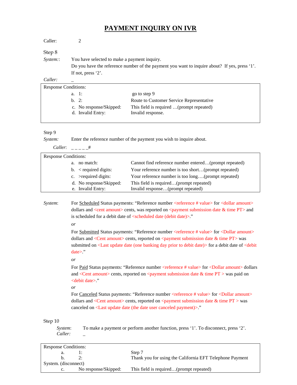## **PAYMENT INQUIRY ON IVR**

| Caller:                     | 2                                            |                                                                                               |
|-----------------------------|----------------------------------------------|-----------------------------------------------------------------------------------------------|
| Step 8                      |                                              |                                                                                               |
| System::                    | You have selected to make a payment inquiry. |                                                                                               |
|                             |                                              | Do you have the reference number of the payment you want to inquire about? If yes, press '1'. |
|                             | If not, press $2$ .                          |                                                                                               |
| Caller:                     |                                              |                                                                                               |
| <b>Response Conditions:</b> |                                              |                                                                                               |
|                             | a. 1:                                        | go to step 9                                                                                  |
|                             | b. 2:                                        | Route to Customer Service Representative                                                      |
|                             | c. No response/Skipped:                      | This field is required (prompt repeated)                                                      |

## Step 9

*System:* Enter the reference number of the payment you wish to inquire about.

d. Invalid Entry: Invalid response.

*Caller*: \_\_\_\_\_#

|    | <b>Response Conditions:</b> |                                                       |  |  |
|----|-----------------------------|-------------------------------------------------------|--|--|
| a. | no match:                   | Cannot find reference number entered(prompt repeated) |  |  |
|    | b. $\leq$ required digits:  | Your reference number is too short(prompt repeated)   |  |  |
|    | c. $>$ required digits:     | Your reference number is too long(prompt repeated)    |  |  |
|    | d. No response/Skipped:     | This field is required(prompt repeated)               |  |  |
|    | e. Invalid Entry:           | Invalid response(prompt repeated)                     |  |  |

*System*: For Scheduled Status payments: "Reference number <reference # value> for <dollar amount> dollars and  $\le$ cent amount> cents, was reported on  $\le$  payment submission date & time PT> and is scheduled for a debit date of <scheduled date (debit date)>."

 *or*

For Submitted Status payments: "Reference number <reference # value> for <Dollar amount> dollars and <Cent amount> cents, reported on <payment submission date  $\&$  time PT> was submitted on <Last update date (one banking day prior to debit date) for a debit date of <debit date>."

## *or*

For Paid Status payments: "Reference number <reference # value> for <Dollar amount> dollars and <Cent amount> cents, reported on <payment submission date  $\&$  time PT > was paid on <debit date>."

## *or*

For Canceled Status payments: "Reference number <reference # value> for <Dollar amount> dollars and <Cent amount> cents, reported on <payment submission date  $\&$  time PT > was canceled on <Last update date (the date user canceled payment)>."

#### Step 10

*System*: To make a payment or perform another function, press '1'. To disconnect, press '2'. *Caller:* \_

| <b>Response Conditions:</b> |                      |                                                          |  |  |
|-----------------------------|----------------------|----------------------------------------------------------|--|--|
| a.                          |                      | Step 7                                                   |  |  |
|                             |                      | Thank you for using the California EFT Telephone Payment |  |  |
| System. (disconnect)        |                      |                                                          |  |  |
| $c_{\cdot}$                 | No response/Skipped: | This field is required(prompt repeated)                  |  |  |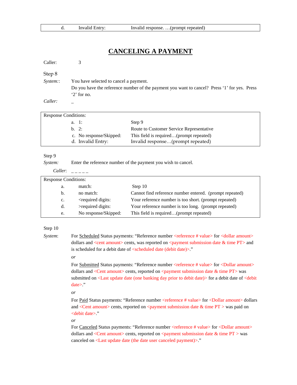## **CANCELING A PAYMENT**

Caller: 3 Step 8

*System:*: You have selected to cancel a payment. Do you have the reference number of the payment you want to cancel? Press '1' for yes. Press '2' for no. *Caller:* \_

| <b>Response Conditions:</b> |                                              |                                                                              |
|-----------------------------|----------------------------------------------|------------------------------------------------------------------------------|
|                             | a. 1:                                        | Step 9                                                                       |
|                             | h. 2:                                        | Route to Customer Service Representative                                     |
|                             | c. No response/Skipped:<br>d. Invalid Entry: | This field is required(prompt repeated)<br>Invalid response(prompt repeated) |

## Step 9

*System:* Enter the reference number of the payment you wish to cancel.

*Caller*: \_\_\_\_\_

| <b>Response Conditions:</b> |                                                                                                       |                                                         |  |
|-----------------------------|-------------------------------------------------------------------------------------------------------|---------------------------------------------------------|--|
| a.                          | match:                                                                                                | Step 10                                                 |  |
| b.                          | no match:                                                                                             | Cannot find reference number entered. (prompt repeated) |  |
| c.                          | <required digits:<="" td=""><td>Your reference number is too short. (prompt repeated)</td></required> | Your reference number is too short. (prompt repeated)   |  |
| d.                          | >required digits:                                                                                     | Your reference number is too long. (prompt repeated)    |  |
| e.                          | No response/Skipped:                                                                                  | This field is required(prompt repeated)                 |  |

## Step 10

*System*: For Scheduled Status payments: "Reference number <reference # value> for <dollar amount> dollars and  $\le$ cent amount> cents, was reported on  $\le$  payment submission date & time PT> and is scheduled for a debit date of <scheduled date (debit date)>."

#### *or*

For Submitted Status payments: "Reference number <reference # value> for <Dollar amount> dollars and <Cent amount> cents, reported on <payment submission date  $\&$  time PT> was submitted on <Last update date (one banking day prior to debit date) > for a debit date of <debit date>."

### *or*

 For Paid Status payments: "Reference number <reference # value> for <Dollar amount> dollars and <Cent amount> cents, reported on <payment submission date  $\&$  time PT > was paid on <debit date>."

#### *or*

 For Canceled Status payments: "Reference number <reference # value> for <Dollar amount> dollars and <Cent amount> cents, reported on <payment submission date  $\&$  time PT > was canceled on <Last update date (the date user canceled payment)>."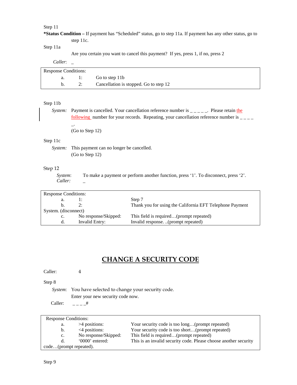## Step 11

**\*Status Condition –** If payment has "Scheduled" status, go to step 11a. If payment has any other status, go to step 11c.

## Step 11a

Are you certain you want to cancel this payment? If yes, press 1, if no, press 2

| Caller: |  |
|---------|--|
|---------|--|

| <b>Response Conditions:</b> |  |                                           |  |  |
|-----------------------------|--|-------------------------------------------|--|--|
|                             |  | a. 1: Go to step 11b                      |  |  |
|                             |  | 2: Cancellation is stopped. Go to step 12 |  |  |

#### Step 11b

*System:* Payment is cancelled. Your cancellation reference number is \_\_\_\_\_. Please retain the <u>following</u> number for your records. Repeating, your cancellation reference number is  $\frac{1}{1}$  $\overline{\phantom{a}}$ (Go to Step 12)

## Step 11c

*System:* This payment can no longer be cancelled. (Go to Step 12)

## Step 12

*System*: To make a payment or perform another function, press '1'. To disconnect, press '2'. *Caller:* \_

| <b>Response Conditions:</b> |                      |                      |                                                          |  |
|-----------------------------|----------------------|----------------------|----------------------------------------------------------|--|
|                             | a.                   |                      | Step 7                                                   |  |
|                             | b.                   | 2:                   | Thank you for using the California EFT Telephone Payment |  |
|                             | System. (disconnect) |                      |                                                          |  |
|                             | $c_{\cdot}$          | No response/Skipped: | This field is required(prompt repeated)                  |  |
|                             | d.                   | Invalid Entry:       | Invalid response. (prompt repeated)                      |  |

## **CHANGE A SECURITY CODE**

| Caller: |  |
|---------|--|
|         |  |

Step 8

*System*: You have selected to change your security code. Enter your new security code now.

Caller:  $\qquad \qquad _{---}^{\#}$ 

| <b>Response Conditions:</b> |                      |                                                                  |  |
|-----------------------------|----------------------|------------------------------------------------------------------|--|
| a.                          | $>4$ positions:      | Your security code is too long(prompt repeated)                  |  |
| b.                          | $\leq$ 4 positions:  | Your security code is too short(prompt repeated)                 |  |
| $c_{\cdot}$                 | No response/Skipped: | This field is required(prompt repeated)                          |  |
| d.                          | '0000' entered:      | This is an invalid security code. Please choose another security |  |
| code(prompt repeated).      |                      |                                                                  |  |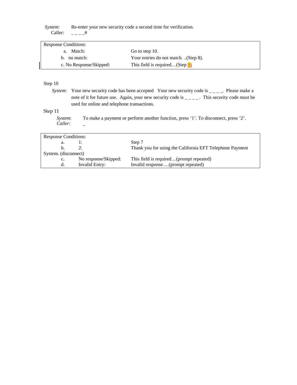*System:* Re-enter your new security code a second time for verification. Caller: # Calle

| Caller: |  |
|---------|--|
|         |  |
|         |  |

| <b>Response Conditions:</b> |                                              |
|-----------------------------|----------------------------------------------|
| Match:<br>a.                | Go to step 10.                               |
| b. no match:                | Your entries do not match. (Step 8).         |
| c. No Response/Skipped:     | This field is required(Step $\overline{9}$ ) |

Step 10

*System*: Your new security code has been accepted Your new security code is \_\_\_\_. Please make a note of it for future use. Again, your new security code is  $\frac{1}{1}$  –  $\frac{1}{1}$ . This security code must be used for online and telephone transactions.

Step 11

*System*: To make a payment or perform another function, press '1'. To disconnect, press '2'. *Caller:* \_

| <b>Response Conditions:</b> |    |                      |                                                          |
|-----------------------------|----|----------------------|----------------------------------------------------------|
|                             | a. |                      | Step 7                                                   |
|                             |    |                      | Thank you for using the California EFT Telephone Payment |
| System. (disconnect)        |    |                      |                                                          |
|                             | c. | No response/Skipped: | This field is required(prompt repeated)                  |
|                             | d. | Invalid Entry:       | Invalid response(prompt repeated)                        |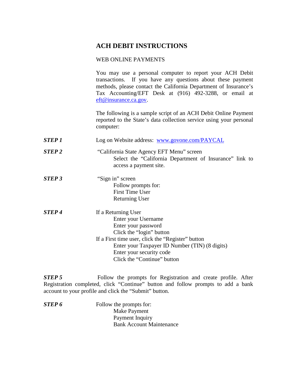## **ACH DEBIT INSTRUCTIONS**

## WEB ONLINE PAYMENTS

|               | You may use a personal computer to report your ACH Debit<br>transactions. If you have any questions about these payment<br>methods, please contact the California Department of Insurance's<br>Tax Accounting/EFT Desk at (916) 492-3288, or email at<br>eft@insurance.ca.gov. |
|---------------|--------------------------------------------------------------------------------------------------------------------------------------------------------------------------------------------------------------------------------------------------------------------------------|
|               | The following is a sample script of an ACH Debit Online Payment<br>reported to the State's data collection service using your personal<br>computer:                                                                                                                            |
| STEP 1        | Log on Website address: www.govone.com/PAYCAL                                                                                                                                                                                                                                  |
| <b>STEP 2</b> | "California State Agency EFT Menu" screen<br>Select the "California Department of Insurance" link to<br>access a payment site.                                                                                                                                                 |
| <b>STEP 3</b> | "Sign in" screen<br>Follow prompts for:<br><b>First Time User</b><br><b>Returning User</b>                                                                                                                                                                                     |
| <b>STEP 4</b> | If a Returning User<br>Enter your Username<br>Enter your password<br>Click the "login" button<br>If a First time user, click the "Register" button<br>Enter your Taxpayer ID Number (TIN) (8 digits)<br>Enter your security code<br>Click the "Continue" button                |

**STEP 5** Follow the prompts for Registration and create profile. After Registration completed, click "Continue" button and follow prompts to add a bank account to your profile and click the "Submit" button.

**STEP 6** Follow the prompts for: Make Payment Payment Inquiry Bank Account Maintenance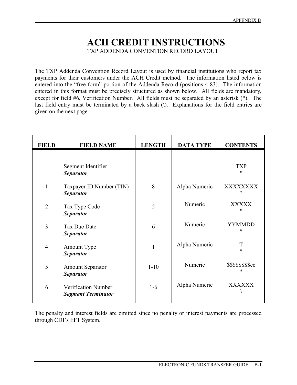## **ACH CREDIT INSTRUCTIONS**  TXP ADDENDA CONVENTION RECORD LAYOUT

 entered in this format must be precisely structured as shown below. All fields are mandatory, The TXP Addenda Convention Record Layout is used by financial institutions who report tax payments for their customers under the ACH Credit method. The information listed below is entered into the "free form" portion of the Addenda Record (positions 4-83). The information except for field #6, Verification Number. All fields must be separated by an asterisk (\*). The last field entry must be terminated by a back slash (\). Explanations for the field entries are given on the next page.

| <b>FIELD</b>   | <b>FIELD NAME</b>                                | <b>LENGTH</b> | <b>DATA TYPE</b> | <b>CONTENTS</b>         |
|----------------|--------------------------------------------------|---------------|------------------|-------------------------|
|                | Segment Identifier<br><b>Separator</b>           |               |                  | <b>TXP</b><br>$\ast$    |
| $\mathbf{1}$   | Taxpayer ID Number (TIN)<br><b>Separator</b>     | 8             | Alpha Numeric    | XXXXXXXX<br>$\ast$      |
| $\overline{2}$ | Tax Type Code<br><b>Separator</b>                | 5             | Numeric          | <b>XXXXX</b><br>*       |
| $\overline{3}$ | Tax Due Date<br><b>Separator</b>                 | 6             | Numeric          | <b>YYMMDD</b><br>$\ast$ |
| $\overline{4}$ | Amount Type<br><b>Separator</b>                  | $\mathbf{1}$  | Alpha Numeric    | T<br>$\ast$             |
| 5              | <b>Amount Separator</b><br><b>Separator</b>      | $1 - 10$      | Numeric          | \$\$\$\$\$\$\$\$cc<br>* |
| 6              | Verification Number<br><b>Segment Terminator</b> | $1-6$         | Alpha Numeric    | <b>XXXXXX</b>           |

The penalty and interest fields are omitted since no penalty or interest payments are processed through CDI's EFT System.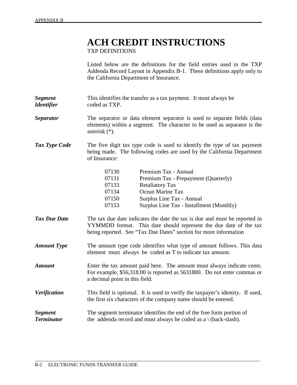# **ACH CREDIT INSTRUCTIONS**

TXP DEFINITIONS

Listed below are the definitions for the field entries used in the TXP Addenda Record Layout in Appendix B-1. These definitions apply only to the California Department of Insurance.

- *Segment Identifier* This identifies the transfer as a tax payment. It must always be coded as TXP.
- **Separator** The separator or data element separator is used to separate fields (data elements) within a segment. The character to be used as separator is the asterisk (\*).
- **Tax Type Code** The five digit tax type code is used to identify the type of tax payment being made. The following codes are used by the California Department of Insurance:

| 07130 | Premium Tax - Annual                     |
|-------|------------------------------------------|
| 07131 | Premium Tax - Prepayment (Quarterly)     |
| 07133 | <b>Retaliatory Tax</b>                   |
| 07134 | Ocean Marine Tax                         |
| 07150 | Surplus Line Tax - Annual                |
| 07153 | Surplus Line Tax - Installment (Monthly) |

- **Tax Due Date** The tax due date indicates the date the tax is due and must be reported in YYMMDD format. This date should represent the due date of the tax being reported. See "Tax Due Dates" section for more information
- *Amount Type* The amount type code identifies what type of amount follows. This data element must always be coded as T to indicate tax amount.
- *Amount* Enter the tax amount paid here. The amount must always indicate cents. For example, \$56,318.00 is reported as 5631800. Do not enter commas or a decimal point in this field.
- *Verification* This field is optional. It is used to verify the taxpayer's identity. If used, the first six characters of the company name should be entered.

\_\_\_\_\_\_\_\_\_\_\_\_\_\_\_\_\_\_\_\_\_\_\_\_\_\_\_\_\_\_\_\_\_\_\_\_\_\_\_\_\_\_\_\_\_\_\_\_\_\_\_\_\_\_\_\_\_\_\_\_\_\_\_\_\_\_\_\_\_\_\_\_\_\_\_\_\_\_\_\_\_\_\_\_\_\_\_\_\_\_\_\_\_

*Segment Terminator* The segment terminator identifies the end of the free form portion of the addenda record and must always be coded as  $a \setminus (back\text{-slash})$ .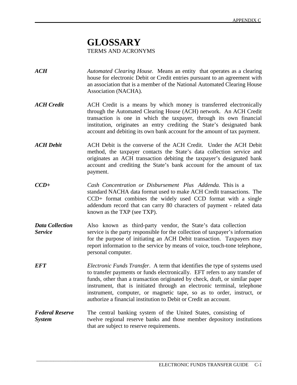## **GLOSSARY** TERMS AND ACRONYMS

- *ACH Automated Clearing House.* Means an entity that operates as a clearing house for electronic Debit or Credit entries pursuant to an agreement with an association that is a member of the National Automated Clearing House Association (NACHA).
- *ACH Credit* ACH Credit is a means by which money is transferred electronically through the Automated Clearing House (ACH) network. An ACH Credit transaction is one in which the taxpayer, through its own financial institution, originates an entry crediting the State's designated bank account and debiting its own bank account for the amount of tax payment.
- *ACH Debit* ACH Debit is the converse of the ACH Credit. Under the ACH Debit method, the taxpayer contacts the State's data collection service and originates an ACH transaction debiting the taxpayer's designated bank account and crediting the State's bank account for the amount of tax payment.
- *CCD+ Cash Concentration or Disbursement Plus Addenda.* This is a standard NACHA data format used to make ACH Credit transactions. The CCD+ format combines the widely used CCD format with a single addendum record that can carry 80 characters of payment - related data known as the TXP (see TXP).
- *Data Collection Service* Also known as third-party vendor, the State's data collection service is the party responsible for the collection of taxpayer's information for the purpose of initiating an ACH Debit transaction. Taxpayers may report information to the service by means of voice, touch-tone telephone, personal computer.
- *EFT Electronic Funds Transfer*. A term that identifies the type of systems used to transfer payments or funds electronically. EFT refers to any transfer of funds, other than a transaction originated by check, draft, or similar paper instrument, that is initiated through an electronic terminal, telephone instrument, computer, or magnetic tape, so as to order, instruct, or authorize a financial institution to Debit or Credit an account.
- *Federal Reserve System* The central banking system of the United States, consisting of twelve regional reserve banks and those member depository institutions that are subject to reserve requirements.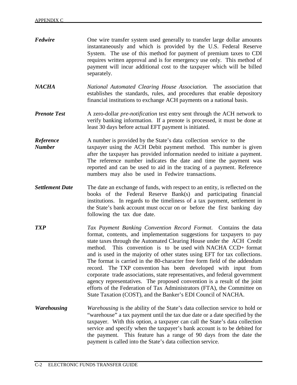| Fedwire                    | One wire transfer system used generally to transfer large dollar amounts<br>instantaneously and which is provided by the U.S. Federal Reserve<br>System. The use of this method for payment of premium taxes to CDI<br>requires written approval and is for emergency use only. This method of<br>payment will incur additional cost to the taxpayer which will be billed<br>separately.                                                                                                                                                                                                                                                                                                                                                                                                                             |
|----------------------------|----------------------------------------------------------------------------------------------------------------------------------------------------------------------------------------------------------------------------------------------------------------------------------------------------------------------------------------------------------------------------------------------------------------------------------------------------------------------------------------------------------------------------------------------------------------------------------------------------------------------------------------------------------------------------------------------------------------------------------------------------------------------------------------------------------------------|
| <b>NACHA</b>               | National Automated Clearing House Association. The association that<br>establishes the standards, rules, and procedures that enable depository<br>financial institutions to exchange ACH payments on a national basis.                                                                                                                                                                                                                                                                                                                                                                                                                                                                                                                                                                                               |
| <b>Prenote Test</b>        | A zero-dollar pre-notification test entry sent through the ACH network to<br>verify banking information. If a prenote is processed, it must be done at<br>least 30 days before actual EFT payment is initiated.                                                                                                                                                                                                                                                                                                                                                                                                                                                                                                                                                                                                      |
| Reference<br><b>Number</b> | A number is provided by the State's data collection service to the<br>taxpayer using the ACH Debit payment method. This number is given<br>after the taxpayer has provided information needed to initiate a payment.<br>The reference number indicates the date and time the payment was<br>reported and can be used to aid in the tracing of a payment. Reference<br>numbers may also be used in Fedwire transactions.                                                                                                                                                                                                                                                                                                                                                                                              |
| <b>Settlement Date</b>     | The date an exchange of funds, with respect to an entity, is reflected on the<br>books of the Federal Reserve Bank(s) and participating financial<br>institutions. In regards to the timeliness of a tax payment, settlement in<br>the State's bank account must occur on or before the first banking day<br>following the tax due date.                                                                                                                                                                                                                                                                                                                                                                                                                                                                             |
| <b>TXP</b>                 | Tax Payment Banking Convention Record Format. Contains the data<br>format, contents, and implementation suggestions for taxpayers to pay<br>state taxes through the Automated Clearing House under the ACH Credit<br>method. This convention is to be used with NACHA CCD+ format<br>and is used in the majority of other states using EFT for tax collections.<br>The format is carried in the 80-character free form field of the addendum<br>record. The TXP convention has been developed with input from<br>corporate trade associations, state representatives, and federal government<br>agency representatives. The proposed convention is a result of the joint<br>efforts of the Federation of Tax Administrators (FTA), the Committee on<br>State Taxation (COST), and the Banker's EDI Council of NACHA. |
| <b>Warehousing</b>         | <i>Warehousing</i> is the ability of the State's data collection service to hold or<br>"warehouse" a tax payment until the tax due date or a date specified by the<br>taxpayer. With this option, a taxpayer can call the State's data collection<br>service and specify when the taxpayer's bank account is to be debited for<br>the payment. This feature has a range of 90 days from the date the<br>payment is called into the State's data collection service.                                                                                                                                                                                                                                                                                                                                                  |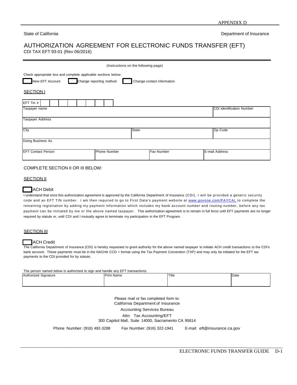State of California **Department of Insurance** Department of Insurance

## AUTHORIZATION AGREEMENT FOR ELECTRONIC FUNDS TRANSFER (EFT)

CDI TAX EFT 93-01 (Rev 06/2016)

| (Instructions on the following page)                                                                                                      |                                  |  |  |  |  |  |  |  |
|-------------------------------------------------------------------------------------------------------------------------------------------|----------------------------------|--|--|--|--|--|--|--|
| Check appropriate box and complete applicable sections below:<br>New EFT Account<br>Change reporting method<br>Change contact information |                                  |  |  |  |  |  |  |  |
| <b>SECTION1</b>                                                                                                                           |                                  |  |  |  |  |  |  |  |
| EFT Tin #                                                                                                                                 |                                  |  |  |  |  |  |  |  |
| Taxpayer name                                                                                                                             | <b>CDI Identification Number</b> |  |  |  |  |  |  |  |
| <b>Taxpayer Address</b>                                                                                                                   |                                  |  |  |  |  |  |  |  |
| City<br><b>State</b><br>Zip Code                                                                                                          |                                  |  |  |  |  |  |  |  |
| Doing Business As                                                                                                                         |                                  |  |  |  |  |  |  |  |
| Phone Number<br>E-mail Address<br><b>EFT Contact Person</b><br>Fax Number                                                                 |                                  |  |  |  |  |  |  |  |

## COMPLETE SECTION II OR III BELOW:

## **SECTION II**

#### **ACH Debit**

I understand that once this authorization agreement is approved by the California Department of Insurance (CDI), I will be provided a generic security code and an EFT TIN number. I am then required to go to First Data's payment website at [www.govone.com/PAYCAL](http://www.govone.com/PAYCAL) to complete the remaining registration by adding my payment information which includes my bank account number and routing number, before any tax payment can be initiated by me or the above named taxpayer. This authorization agreement is to remain in full force until EFT payments are no longer required by statute or, until CDI and I mutually agree to terminate my participation in the EFT Program.

#### **SECTION III**

#### ACH Credit

The California Department of Insurance (CDI) is hereby requested to grant authority for the above named taxpayer to initiate ACH credit transactions to the CDI's bank account. These payments must be in the NACHA CCD + format using the Tax Payment Convention (TXP) and may only be initiated for the EFT tax payments to the CDI provided for by statute.

The person named below is authorized to sign and handle any EFT transactions.

| Authorized Signature | <b>Print Name</b> | Title<br>$\sim$ $\sim$ | Date |
|----------------------|-------------------|------------------------|------|
|                      |                   |                        |      |
|                      |                   |                        |      |

Please mail or fax completed form to: California Department of Insurance Accounting Services Bureau Attn: Tax Accounting/EFT 300 Capitol Mall, Suite 14000, Sacramento CA 95814

\_\_\_\_\_\_\_\_\_\_\_\_\_\_\_\_\_\_\_\_\_\_\_\_\_\_\_\_\_\_\_\_\_\_\_\_\_\_\_\_\_\_\_\_\_\_\_\_\_\_\_\_\_\_\_\_\_\_\_\_\_\_\_\_\_\_\_\_\_\_\_\_\_\_\_\_\_\_\_\_\_\_\_\_\_\_\_\_\_\_\_\_\_

Phone Number: (916) 492-3288 Fax Number: (916) 322-1941 E-mail: [eft@insurance.ca.gov](mailto:eft@insurance.ca.gov)